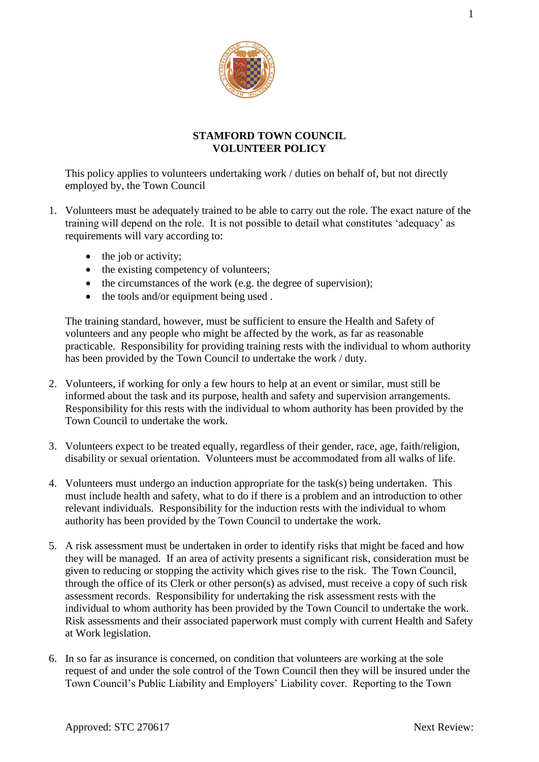

## **STAMFORD TOWN COUNCIL VOLUNTEER POLICY**

This policy applies to volunteers undertaking work / duties on behalf of, but not directly employed by, the Town Council

- 1. Volunteers must be adequately trained to be able to carry out the role. The exact nature of the training will depend on the role. It is not possible to detail what constitutes 'adequacy' as requirements will vary according to:
	- the job or activity;
	- the existing competency of volunteers;
	- $\bullet$  the circumstances of the work (e.g. the degree of supervision):
	- the tools and/or equipment being used.

The training standard, however, must be sufficient to ensure the Health and Safety of volunteers and any people who might be affected by the work, as far as reasonable practicable. Responsibility for providing training rests with the individual to whom authority has been provided by the Town Council to undertake the work / duty.

- 2. Volunteers, if working for only a few hours to help at an event or similar, must still be informed about the task and its purpose, health and safety and supervision arrangements. Responsibility for this rests with the individual to whom authority has been provided by the Town Council to undertake the work.
- 3. Volunteers expect to be treated equally, regardless of their gender, race, age, faith/religion, disability or sexual orientation. Volunteers must be accommodated from all walks of life.
- 4. Volunteers must undergo an induction appropriate for the task(s) being undertaken. This must include health and safety, what to do if there is a problem and an introduction to other relevant individuals. Responsibility for the induction rests with the individual to whom authority has been provided by the Town Council to undertake the work.
- 5. A risk assessment must be undertaken in order to identify risks that might be faced and how they will be managed. If an area of activity presents a significant risk, consideration must be given to reducing or stopping the activity which gives rise to the risk. The Town Council, through the office of its Clerk or other person(s) as advised, must receive a copy of such risk assessment records. Responsibility for undertaking the risk assessment rests with the individual to whom authority has been provided by the Town Council to undertake the work. Risk assessments and their associated paperwork must comply with current Health and Safety at Work legislation.
- 6. In so far as insurance is concerned, on condition that volunteers are working at the sole request of and under the sole control of the Town Council then they will be insured under the Town Council's Public Liability and Employers' Liability cover. Reporting to the Town